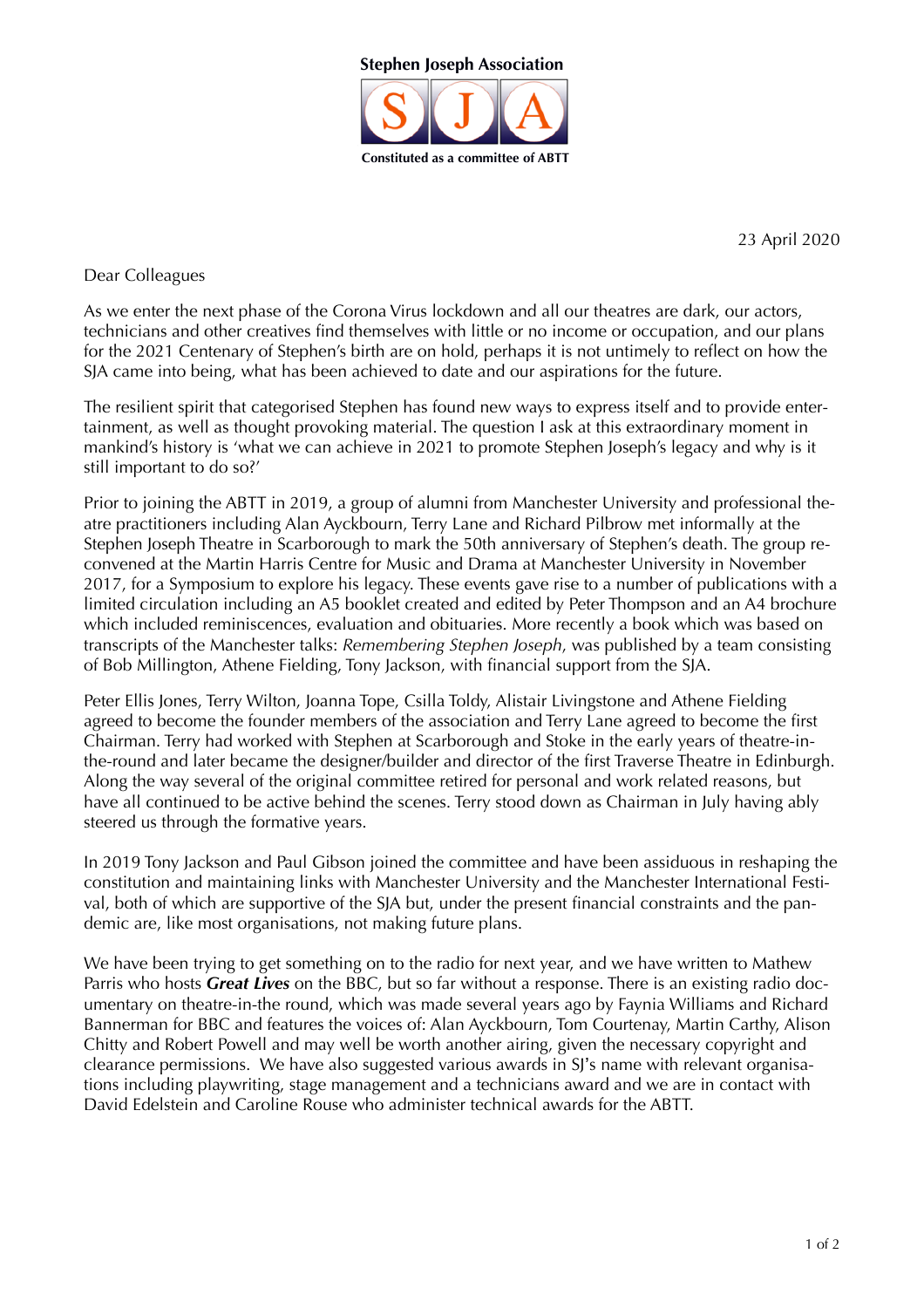

23 April 2020

Dear Colleagues

As we enter the next phase of the Corona Virus lockdown and all our theatres are dark, our actors, technicians and other creatives find themselves with little or no income or occupation, and our plans for the 2021 Centenary of Stephen's birth are on hold, perhaps it is not untimely to reflect on how the SJA came into being, what has been achieved to date and our aspirations for the future.

The resilient spirit that categorised Stephen has found new ways to express itself and to provide entertainment, as well as thought provoking material. The question I ask at this extraordinary moment in mankind's history is 'what we can achieve in 2021 to promote Stephen Joseph's legacy and why is it still important to do so?'

Prior to joining the ABTT in 2019, a group of alumni from Manchester University and professional theatre practitioners including Alan Ayckbourn, Terry Lane and Richard Pilbrow met informally at the Stephen Joseph Theatre in Scarborough to mark the 50th anniversary of Stephen's death. The group reconvened at the Martin Harris Centre for Music and Drama at Manchester University in November 2017, for a Symposium to explore his legacy. These events gave rise to a number of publications with a limited circulation including an A5 booklet created and edited by Peter Thompson and an A4 brochure which included reminiscences, evaluation and obituaries. More recently a book which was based on transcripts of the Manchester talks: *Remembering Stephen Joseph*, was published by a team consisting of Bob Millington, Athene Fielding, Tony Jackson, with financial support from the SJA.

Peter Ellis Jones, Terry Wilton, Joanna Tope, Csilla Toldy, Alistair Livingstone and Athene Fielding agreed to become the founder members of the association and Terry Lane agreed to become the first Chairman. Terry had worked with Stephen at Scarborough and Stoke in the early years of theatre-inthe-round and later became the designer/builder and director of the first Traverse Theatre in Edinburgh. Along the way several of the original committee retired for personal and work related reasons, but have all continued to be active behind the scenes. Terry stood down as Chairman in July having ably steered us through the formative years.

In 2019 Tony Jackson and Paul Gibson joined the committee and have been assiduous in reshaping the constitution and maintaining links with Manchester University and the Manchester International Festival, both of which are supportive of the SJA but, under the present financial constraints and the pandemic are, like most organisations, not making future plans.

We have been trying to get something on to the radio for next year, and we have written to Mathew Parris who hosts *Great Lives* on the BBC, but so far without a response. There is an existing radio documentary on theatre-in-the round, which was made several years ago by Faynia Williams and Richard Bannerman for BBC and features the voices of: Alan Ayckbourn, Tom Courtenay, Martin Carthy, Alison Chitty and Robert Powell and may well be worth another airing, given the necessary copyright and clearance permissions. We have also suggested various awards in SJ's name with relevant organisations including playwriting, stage management and a technicians award and we are in contact with David Edelstein and Caroline Rouse who administer technical awards for the ABTT.